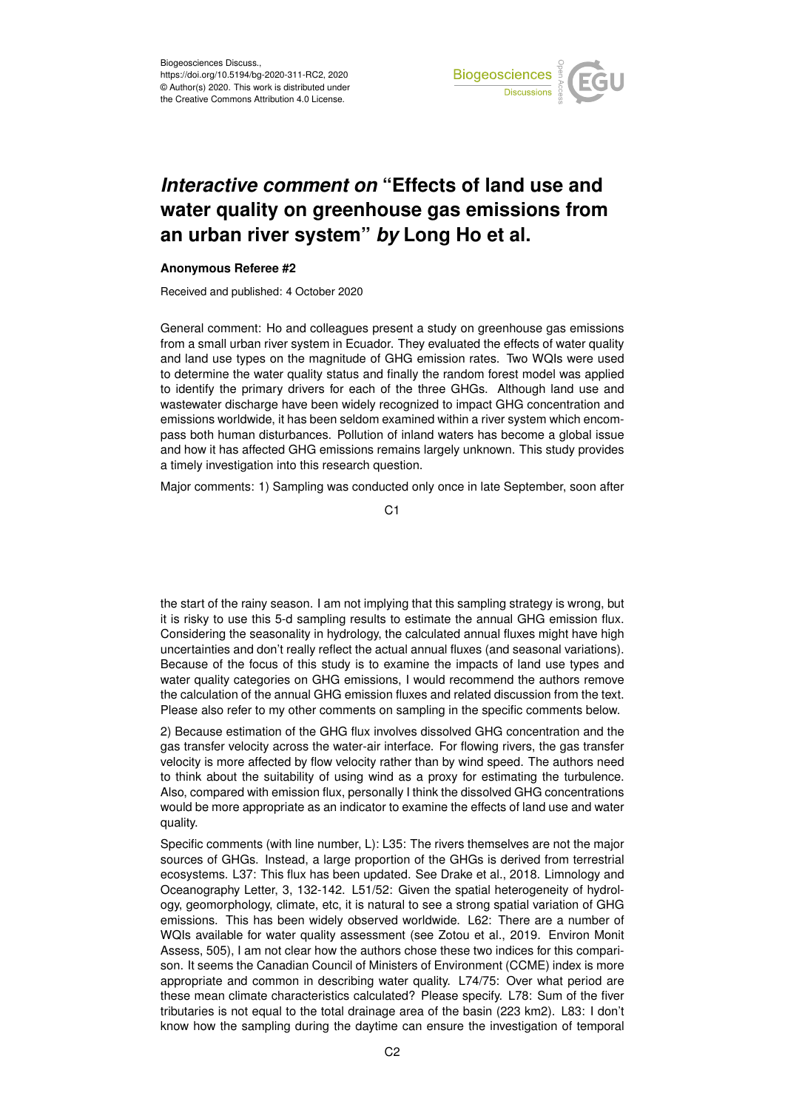

## *Interactive comment on* **"Effects of land use and water quality on greenhouse gas emissions from an urban river system"** *by* **Long Ho et al.**

## **Anonymous Referee #2**

Received and published: 4 October 2020

General comment: Ho and colleagues present a study on greenhouse gas emissions from a small urban river system in Ecuador. They evaluated the effects of water quality and land use types on the magnitude of GHG emission rates. Two WQIs were used to determine the water quality status and finally the random forest model was applied to identify the primary drivers for each of the three GHGs. Although land use and wastewater discharge have been widely recognized to impact GHG concentration and emissions worldwide, it has been seldom examined within a river system which encompass both human disturbances. Pollution of inland waters has become a global issue and how it has affected GHG emissions remains largely unknown. This study provides a timely investigation into this research question.

Major comments: 1) Sampling was conducted only once in late September, soon after

C<sub>1</sub>

the start of the rainy season. I am not implying that this sampling strategy is wrong, but it is risky to use this 5-d sampling results to estimate the annual GHG emission flux. Considering the seasonality in hydrology, the calculated annual fluxes might have high uncertainties and don't really reflect the actual annual fluxes (and seasonal variations). Because of the focus of this study is to examine the impacts of land use types and water quality categories on GHG emissions, I would recommend the authors remove the calculation of the annual GHG emission fluxes and related discussion from the text. Please also refer to my other comments on sampling in the specific comments below.

2) Because estimation of the GHG flux involves dissolved GHG concentration and the gas transfer velocity across the water-air interface. For flowing rivers, the gas transfer velocity is more affected by flow velocity rather than by wind speed. The authors need to think about the suitability of using wind as a proxy for estimating the turbulence. Also, compared with emission flux, personally I think the dissolved GHG concentrations would be more appropriate as an indicator to examine the effects of land use and water quality.

Specific comments (with line number, L): L35: The rivers themselves are not the major sources of GHGs. Instead, a large proportion of the GHGs is derived from terrestrial ecosystems. L37: This flux has been updated. See Drake et al., 2018. Limnology and Oceanography Letter, 3, 132-142. L51/52: Given the spatial heterogeneity of hydrology, geomorphology, climate, etc, it is natural to see a strong spatial variation of GHG emissions. This has been widely observed worldwide. L62: There are a number of WQIs available for water quality assessment (see Zotou et al., 2019. Environ Monit Assess, 505), I am not clear how the authors chose these two indices for this comparison. It seems the Canadian Council of Ministers of Environment (CCME) index is more appropriate and common in describing water quality. L74/75: Over what period are these mean climate characteristics calculated? Please specify. L78: Sum of the fiver tributaries is not equal to the total drainage area of the basin (223 km2). L83: I don't know how the sampling during the daytime can ensure the investigation of temporal